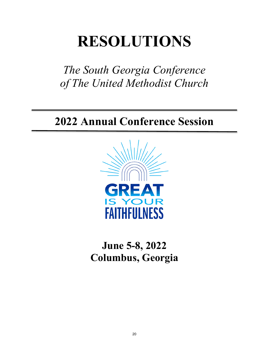## **RESOLUTIONS**

*The South Georgia Conference of The United Methodist Church* 

## **2022 Annual Conference Session**



**June 5-8, 2022 Columbus, Georgia**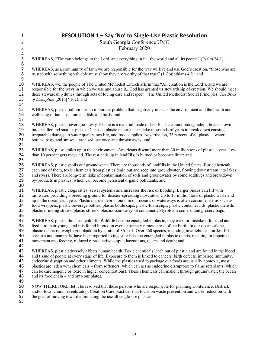| $\mathbf{1}$                    | RESOLUTION 1 - Say 'No' to Single-Use Plastic Resolution                                                                   |
|---------------------------------|----------------------------------------------------------------------------------------------------------------------------|
| $\overline{2}$                  | South Georgia Conference UMC                                                                                               |
| 3                               | February 2020                                                                                                              |
| 4                               |                                                                                                                            |
| $\mathsf S$<br>$\boldsymbol{6}$ | WHEREAS, "The earth belongs to the Lord, and everything in it – the world and all its people" (Psalm 24:1);                |
| $\overline{7}$                  | WHEREAS, as a community of faith we are responsible for the way we live and use God's creation, "those who are             |
| 8                               | trusted with something valuable must show they are worthy of that trust" (1 Corinthians 4:2); and                          |
| 9                               |                                                                                                                            |
| 10                              | WHEREAS, we, the people of The United Methodist Church affirm that "All creation is the Lord's, and we are                 |
| 11                              | responsible for the ways in which we use and abuse itGod has granted us stewardship of creation. We should meet            |
| 12                              | these stewardship duties through acts of loving care and respect" (The United Methodist Social Principles, The Book        |
| 13                              | of Discipline [2016] $\P$ 162); and                                                                                        |
| 14                              |                                                                                                                            |
| 15                              | WHEREAS, plastic pollution is an important problem that negatively impacts the environment and the health and              |
| 16                              | wellbeing of humans, animals, fish, and birds; and                                                                         |
| 17                              |                                                                                                                            |
| 18                              | WHEREAS, plastic never goes away. Plastic is a material made to last. Plastic cannot biodegrade; it breaks down            |
| 19                              | into smaller and smaller pieces. Disposed plastic materials can take thousands of years to break down causing              |
| 20                              | irreparable damage to water quality, sea life, and food supplies. Nevertheless, 33 percent of all plastic – water          |
| 21                              | bottles, bags, and straws – are used just once and thrown away; and                                                        |
| 22                              |                                                                                                                            |
| 23                              | WHEREAS, plastic piles up in the environment. Americans discard more than 30 million tons of plastic a year. Less          |
| 24                              | than 10 percent gets recycled. The rest ends up in landfills, is burned or becomes litter; and                             |
| 25                              |                                                                                                                            |
| 26                              | WHEREAS, plastic spoils our groundwater. There are thousands of landfills in the United States. Buried beneath             |
| 27                              | each one of them, toxic chemicals from plastics drain out and seep into groundwater, flowing downstream into lakes         |
| 28                              | and rivers. There are long-term risks of contamination of soils and groundwater by some additives and breakdown            |
| 29                              | by-products in plastics, which can become persistent organic pollutants; and                                               |
| 30<br>31                        | WHEREAS, plastic clogs cities' sewer systems and increases the risk of flooding. Larger pieces can fill with               |
| 32                              | rainwater, providing a breeding ground for disease-spreading mosquitos. Up to 13 million tons of plastic waste end         |
| 33                              | up in the ocean each year. Plastic marine debris found in our oceans or waterways is often consumer items such as          |
| 34                              | food wrappers, plastic beverage bottles, plastic bottle caps, plastic/foam cups, plastic container lids, plastic utensils, |
| 35                              | plastic drinking straws, plastic stirrers, plastic/foam carryout containers, Styrofoam coolers, and grocery bags.          |
| 36                              |                                                                                                                            |
| 37                              | WHEREAS, plastic threatens wildlife. Wildlife become entangled in plastic, they eat it or mistake it for food and          |
| 38                              | feed it to their young, and it is found littered in even extremely remote areas of the Earth. In our oceans alone,         |
| 39                              | plastic debris outweighs zooplankton by a ratio of 36-to-1. Over 260 species, including invertebrates, turtles, fish,      |
| 40                              | seabirds and mammals, have been reported to ingest or become entangled in plastic debris, resulting in impaired            |
| 41                              | movement and feeding, reduced reproductive output, lacerations, ulcers and death; and                                      |
| 42                              |                                                                                                                            |
| 43                              | WHEREAS, plastic adversely affects human health. Toxic chemicals leach out of plastic and are found in the blood           |
| 44                              | and tissue of people at every stage of life. Exposure to them is linked to cancers, birth defects, impaired immunity,      |
| 45                              | endocrine disruption and other ailments. While the plastics used to package our foods are usually nontoxic, most           |
| 46                              | plastics are laden with chemicals – from softeners (which can act as endocrine disruptors) to flame retardants (which      |
| 47                              | can be carcinogenic or toxic in higher concentrations). These chemicals can make it through groundwater, the ocean         |
| 48                              | and its food chain – and onto our plates.                                                                                  |
| 49                              |                                                                                                                            |
| 50                              | NOW THEREFORE, let it be resolved that those persons who are responsible for planning Conference, District,                |
| 51                              | and/or local church events adopt Creation Care practices that focus on waste prevention and waste reduction with           |
| 52                              | the goal of moving toward eliminating the use all single-use plastics.                                                     |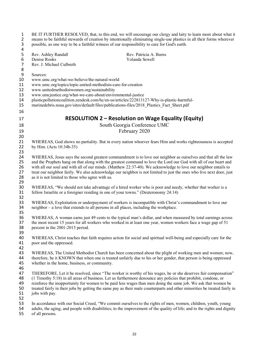| $\mathbf{1}$<br>$\mathbf 2$<br>3<br>$\pmb{4}$                | BE IT FURTHER RESOLVED, that, to this end, we will encourage our clergy and laity to learn more about what it<br>means to be faithful stewards of creation by intentionally eliminating single-use plastics in all their forms wherever<br>possible, as one way to be a faithful witness of our responsibility to care for God's earth.                                                                                                                                                                                          |
|--------------------------------------------------------------|----------------------------------------------------------------------------------------------------------------------------------------------------------------------------------------------------------------------------------------------------------------------------------------------------------------------------------------------------------------------------------------------------------------------------------------------------------------------------------------------------------------------------------|
| 5<br>$\boldsymbol{6}$<br>$\overline{\mathcal{I}}$<br>$\bf 8$ | Rev. Ashley Randall<br>Rev. Patricia A. Burns<br>Denise Rooks<br>Yolanda Sewell<br>Rev. J. Michael Culbreth                                                                                                                                                                                                                                                                                                                                                                                                                      |
| 9<br>10<br>11<br>12<br>13<br>14<br>15<br>16                  | Sources:<br>www.umc.org/what-we-believe/the-natural-world<br>www.umc.org/topics/topic-united-methodists-care-for-creation<br>www.unitedmethodistwomen.org/sustainability<br>www.umcjustice.org/what-we-care-about/environmental-justice<br>plasticpollutioncoalition.zendesk.com/hc/en-us/articles/222813127-Why-is-plastic-harmful-<br>marinedebris.noaa.gov/sites/default/files/publications-files/2018 Plastics Fact Sheet.pdf                                                                                                |
| 17                                                           | <b>RESOLUTION 2 - Resolution on Wage Equality (Equity)</b>                                                                                                                                                                                                                                                                                                                                                                                                                                                                       |
| 18                                                           | South Georgia Conference UMC                                                                                                                                                                                                                                                                                                                                                                                                                                                                                                     |
| 19                                                           | February 2020                                                                                                                                                                                                                                                                                                                                                                                                                                                                                                                    |
| 20<br>21<br>22<br>23                                         | WHEREAS, God shows no partiality. But in every nation whoever fears Him and works righteousness is accepted<br>by Him. (Acts 10:34b-35)                                                                                                                                                                                                                                                                                                                                                                                          |
| 24<br>25<br>26<br>27<br>28<br>29                             | WHEREAS, Jesus says the second greatest commandment is to love our neighbor as ourselves and that all the law<br>and the Prophets hang on that along with the greatest command to love the Lord our God with all of our heart and<br>with all our soul and with all of our minds. (Matthew 22:37-40). We acknowledge to love our neighbor entails to<br>treat our neighbor fairly. We also acknowledge our neighbor is not limited to just the ones who live next door, just<br>as it is not limited to those who agree with us. |
| 30<br>31<br>32                                               | WHEREAS, "We should not take advantage of a hired worker who is poor and needy, whether that worker is a<br>fellow Israelite or a foreigner residing in one of your towns." (Deuteronomy 24:14)                                                                                                                                                                                                                                                                                                                                  |
| 33<br>34<br>35                                               | WHEREAS, Exploitation or underpayment of workers is incompatible with Christ's commandment to love our<br>neighbor – a love that extends to all persons in all places, including the workplace.                                                                                                                                                                                                                                                                                                                                  |
| 36<br>37<br>38<br>39                                         | WHEREAS, A woman earns just 49 cents to the typical man's dollar, and when measured by total earnings across<br>the most recent 15 years for all workers who worked in at least one year, women workers face a wage gap of 51<br>percent in the 2001-2015 period.                                                                                                                                                                                                                                                                |
| 40<br>41<br>42                                               | WHEREAS, Christ teaches that faith requires action for social and spiritual well-being and especially care for the<br>poor and the oppressed.                                                                                                                                                                                                                                                                                                                                                                                    |
| 43<br>44<br>45<br>46                                         | WHEREAS, The United Methodist Church has been concerned about the plight of working men and women; now,<br>therefore, be it KNOWN that when one is treated unfairly due to his or her gender, that person is being oppressed<br>whether in the home, business, or community.                                                                                                                                                                                                                                                     |
| 47<br>48<br>49<br>50<br>51                                   | THEREFORE, Let it be resolved, since "The worker is worthy of his wages, he or she deserves fair compensation"<br>(1 Timothy 5:18) in all areas of business. Let us furthermore denounce any policies that prohibit, condone, or<br>reinforce the inopportunity for women to be paid less wages than men doing the same job. We ask that women be<br>treated fairly in their jobs by getting the same pay as their male counterparts and other minorities be treated fairly in<br>jobs with pay.                                 |
| 52<br>53<br>54<br>55                                         | In accordance with our Social Creed, "We commit ourselves to the rights of men, women, children, youth, young<br>adults, the aging, and people with disabilities; to the improvement of the quality of life; and to the rights and dignity<br>of all persons.                                                                                                                                                                                                                                                                    |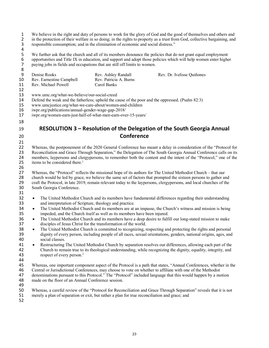1 We believe in the right and duty of persons to work for the glory of God and the good of themselves and others and<br>2 in the protection of their welfare in so doing; in the rights to property as a trust from God, collecti in the protection of their welfare in so doing; in the rights to property as a trust from God, collective bargaining, and responsible consumption; and in the elimination of economic and social distress."

 $\begin{array}{c} 4 \\ 5 \\ 6 \end{array}$ We further ask that the church and all of its members denounce the policies that do not grant equal employment 6 opportunities and Title IX in education, and support and adopt those policies which will help women enter higher paying jobs in fields and occupations that are still off limits to women. paying jobs in fields and occupations that are still off limits to women. 

| 9<br>10<br>11                          | Denise Rooks<br>Rev. Earnestine Campbell<br>Rev. Michael Powell                                                                                                                                                                                                                                                                     | Rev. Ashley Randall<br>Rev. Patricia A. Burns<br>Carol Banks                                                                                                                                          | Rev. Dr. Ivelisse Quiñones                                                                                                                                                                                                                                                                                                                               |  |
|----------------------------------------|-------------------------------------------------------------------------------------------------------------------------------------------------------------------------------------------------------------------------------------------------------------------------------------------------------------------------------------|-------------------------------------------------------------------------------------------------------------------------------------------------------------------------------------------------------|----------------------------------------------------------------------------------------------------------------------------------------------------------------------------------------------------------------------------------------------------------------------------------------------------------------------------------------------------------|--|
| 12<br>13<br>14<br>15<br>16<br>17<br>18 | www.umc.org/what-we-believe/our-social-creed<br>Defend the weak and the fatherless; uphold the cause of the poor and the oppressed. (Psalm 82:3)<br>www.umcjustice.org/what-we-care-about/women-and-children<br>iwpr.org/publications/annual-gender-wage-gap-2018/<br>iwpr.org/women-earn-just-half-of-what-men-earn-over-15-years/ |                                                                                                                                                                                                       |                                                                                                                                                                                                                                                                                                                                                          |  |
| 19                                     |                                                                                                                                                                                                                                                                                                                                     |                                                                                                                                                                                                       | RESOLUTION 3 - Resolution of the Delegation of the South Georgia Annual                                                                                                                                                                                                                                                                                  |  |
| 20                                     |                                                                                                                                                                                                                                                                                                                                     | Conference                                                                                                                                                                                            |                                                                                                                                                                                                                                                                                                                                                          |  |
| 21<br>22<br>23<br>24<br>25<br>26       | items to be considered there. <sup>1</sup>                                                                                                                                                                                                                                                                                          |                                                                                                                                                                                                       | Whereas, the postponement of the 2020 General Conference has meant a delay in consideration of the "Protocol for<br>Reconciliation and Grace Through Separation," the Delegation of The South Georgia Annual Conference calls on its<br>members, laypersons and clergypersons, to remember both the content and the intent of the "Protocol," one of the |  |
| 27<br>28<br>29<br>30<br>31             | South Georgia Conference.                                                                                                                                                                                                                                                                                                           |                                                                                                                                                                                                       | Whereas, the "Protocol" reflects the missional hope of its authors for The United Methodist Church – that our<br>church would be led by grace, we believe the same set of factors that prompted the sixteen persons to gather and<br>craft the Protocol, in late 2019, remain relevant today to the laypersons, clergypersons, and local churches of the |  |
| 32<br>33<br>34<br>35<br>36<br>37       | $\bullet$<br>$\bullet$<br>$\bullet$                                                                                                                                                                                                                                                                                                 | and interpretation of Scripture, theology and practice.<br>impeded, and the Church itself as well as its members have been injured.<br>disciples of Jesus Christ for the transformation of the world. | The United Methodist Church and its members have fundamental differences regarding their understanding<br>The United Methodist Church and its members are at an impasse, the Church's witness and mission is being<br>The United Methodist Church and its members have a deep desire to fulfill our long-stated mission to make                          |  |
| 38<br>39<br>40                         | $\bullet$<br>social classes.                                                                                                                                                                                                                                                                                                        |                                                                                                                                                                                                       | The United Methodist Church is committed to recognizing, respecting and protecting the rights and personal<br>dignity of every person, including people of all races, sexual orientations, genders, national origins, ages, and                                                                                                                          |  |
| 41<br>42<br>43<br>44                   | $\bullet$<br>respect of every person. <sup>2</sup>                                                                                                                                                                                                                                                                                  |                                                                                                                                                                                                       | Restructuring The United Methodist Church by separation resolves our differences, allowing each part of the<br>Church to remain true to its theological understanding, while recognizing the dignity, equality, integrity, and                                                                                                                           |  |
| 45<br>46<br>47<br>48<br>49             | made on the floor of an Annual Conference session.                                                                                                                                                                                                                                                                                  |                                                                                                                                                                                                       | Whereas, one important component aspect of the Protocol is a path that states, "Annual Conferences, whether in the<br>Central or Jurisdictional Conferences, may choose to vote on whether to affiliate with one of the Methodist<br>denominations pursuant to this Protocol." The "Protocol" included language that this would happen by a motion       |  |
| 50<br>51                               |                                                                                                                                                                                                                                                                                                                                     | merely a plan of separation or exit, but rather a plan for true reconciliation and grace; and                                                                                                         | Whereas, a careful review of the "Protocol for Reconciliation and Grace Through Separation" reveals that it is not                                                                                                                                                                                                                                       |  |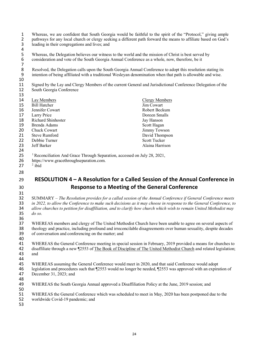| $\mathbf{1}$<br>$\overline{2}$<br>3 | Whereas, we are confident that South Georgia would be faithful to the spirit of the "Protocol," giving ample<br>pathways for any local church or clergy seeking a different path forward the means to affiliate based on God's<br>leading in their congregations and lives; and                                                                         |                                                                                                                                |  |
|-------------------------------------|---------------------------------------------------------------------------------------------------------------------------------------------------------------------------------------------------------------------------------------------------------------------------------------------------------------------------------------------------------|--------------------------------------------------------------------------------------------------------------------------------|--|
| 4<br>5<br>6<br>$\overline{7}$       | Whereas, the Delegation believes our witness to the world and the mission of Christ is best served by<br>consideration and vote of the South Georgia Annual Conference as a whole, now, therefore, be it                                                                                                                                                |                                                                                                                                |  |
| 8<br>9<br>10                        | Resolved, the Delegation calls upon the South Georgia Annual Conference to adopt this resolution stating its<br>intention of being affiliated with a traditional Wesleyan denomination when that path is allowable and wise.                                                                                                                            |                                                                                                                                |  |
| 11<br>12<br>13                      | South Georgia Conference                                                                                                                                                                                                                                                                                                                                | Signed by the Lay and Clergy Members of the current General and Jurisdictional Conference Delegation of the                    |  |
| 14                                  | Lay Members                                                                                                                                                                                                                                                                                                                                             | <b>Clergy Members</b>                                                                                                          |  |
| 15                                  | <b>Bill Hatcher</b>                                                                                                                                                                                                                                                                                                                                     | Jim Cowart                                                                                                                     |  |
| 16                                  | Jennifer Cowart                                                                                                                                                                                                                                                                                                                                         | Robert Beckum                                                                                                                  |  |
| 17                                  | Larry Price                                                                                                                                                                                                                                                                                                                                             | Doreen Smalls                                                                                                                  |  |
| 18                                  | Richard Shinhoster                                                                                                                                                                                                                                                                                                                                      | Jay Hanson                                                                                                                     |  |
| 19                                  | Brenda Adams                                                                                                                                                                                                                                                                                                                                            | Scott Hagan                                                                                                                    |  |
| 20                                  | Chuck Cowart                                                                                                                                                                                                                                                                                                                                            | Jimmy Towson                                                                                                                   |  |
| 21                                  | <b>Steve Rumford</b>                                                                                                                                                                                                                                                                                                                                    | David Thompson                                                                                                                 |  |
| 22                                  | Debbie Turner                                                                                                                                                                                                                                                                                                                                           | <b>Scott Tucker</b>                                                                                                            |  |
| 23                                  | Jeff Barker                                                                                                                                                                                                                                                                                                                                             | Alaina Harrison                                                                                                                |  |
| 24                                  |                                                                                                                                                                                                                                                                                                                                                         |                                                                                                                                |  |
| 25                                  | <sup>1</sup> Reconciliation And Grace Through Separation, accessed on July 28, 2021,                                                                                                                                                                                                                                                                    |                                                                                                                                |  |
| 26                                  | https://www.gracethroughseparation.com.                                                                                                                                                                                                                                                                                                                 |                                                                                                                                |  |
| 27                                  | $2$ ibid                                                                                                                                                                                                                                                                                                                                                |                                                                                                                                |  |
|                                     |                                                                                                                                                                                                                                                                                                                                                         |                                                                                                                                |  |
| 28                                  |                                                                                                                                                                                                                                                                                                                                                         |                                                                                                                                |  |
| 29                                  |                                                                                                                                                                                                                                                                                                                                                         | RESOLUTION 4 – A Resolution for a Called Session of the Annual Conference in                                                   |  |
| 30<br>31                            |                                                                                                                                                                                                                                                                                                                                                         | Response to a Meeting of the General Conference                                                                                |  |
| 32<br>33<br>34<br>35                | SUMMARY - The Resolution provides for a called session of the Annual Conference if General Conference meets<br>in 2022, to allow the Conference to make such decisions as it may choose in response to the General Conference, to<br>allow churches to petition for disaffiliation, and to clarify how church which wish to remain United Methodist may |                                                                                                                                |  |
|                                     | do so.                                                                                                                                                                                                                                                                                                                                                  |                                                                                                                                |  |
| 36<br>37                            |                                                                                                                                                                                                                                                                                                                                                         |                                                                                                                                |  |
|                                     | WHEREAS members and clergy of The United Methodist Church have been unable to agree on several aspects of                                                                                                                                                                                                                                               |                                                                                                                                |  |
| 38<br>39                            | theology and practice, including profound and irreconcilable disagreements over human sexuality, despite decades<br>of conversation and conferencing on the matter; and                                                                                                                                                                                 |                                                                                                                                |  |
| 40                                  |                                                                                                                                                                                                                                                                                                                                                         |                                                                                                                                |  |
| 41                                  |                                                                                                                                                                                                                                                                                                                                                         | WHEREAS the General Conference meeting in special session in February, 2019 provided a means for churches to                   |  |
| 42                                  | disaffiliate through a new ¶2553 of The Book of Discipline of The United Methodist Church and related legislation;                                                                                                                                                                                                                                      |                                                                                                                                |  |
| 43                                  | and                                                                                                                                                                                                                                                                                                                                                     |                                                                                                                                |  |
| 44                                  |                                                                                                                                                                                                                                                                                                                                                         |                                                                                                                                |  |
| 45                                  |                                                                                                                                                                                                                                                                                                                                                         | WHEREAS assuming the General Conference would meet in 2020, and that said Conference would adopt                               |  |
| 46                                  |                                                                                                                                                                                                                                                                                                                                                         | legislation and procedures such that $\sqrt{2553}$ would no longer be needed, $\sqrt{2553}$ was approved with an expiration of |  |
| 47                                  | December 31, 2023; and                                                                                                                                                                                                                                                                                                                                  |                                                                                                                                |  |
| 48                                  |                                                                                                                                                                                                                                                                                                                                                         |                                                                                                                                |  |
| 49                                  |                                                                                                                                                                                                                                                                                                                                                         | WHEREAS the South Georgia Annual approved a Disaffiliation Policy at the June, 2019 session; and                               |  |
| 50                                  |                                                                                                                                                                                                                                                                                                                                                         |                                                                                                                                |  |
| 51                                  |                                                                                                                                                                                                                                                                                                                                                         | WHEREAS the General Conference which was scheduled to meet in May, 2020 has been postponed due to the                          |  |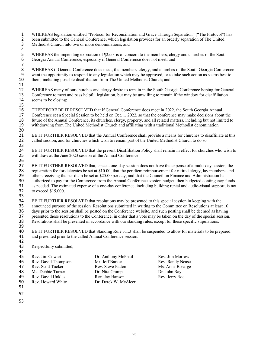1 WHEREAS legislation entitled "Protocol for Reconciliation and Grace Through Separation" ("The Protocol") has<br>2 been submitted to the General Conference, which legislation provides for an orderly separation of The United 2 been submitted to the General Conference, which legislation provides for an orderly separation of The United<br>3 Methodist Church into two or more denominations: and Methodist Church into two or more denominations; and 4<br>5 5 WHEREAS the impending expiration of ¶2553 is of concern to the members, clergy and churches of the South Georgia Annual Conference, especially if General Conference does not meet; and 6 Georgia Annual Conference, especially if General Conference does not meet; and

7 WHEREAS if General Conference does meet, the members, clergy, and churches of the South Georgia Conference 9 want the opportunity to respond to any legislation which may be approved, or to take such action as seems best to them, including possible disaffiliation from The United Methodist Church; and them, including possible disaffiliation from The United Methodist Church; and

11<br>12 12 WHEREAS many of our churches and clergy desire to remain in the South Georgia Conference hoping for General<br>13 Conference to meet and pass helpful legislation, but may be unwilling to remain if the window for disaffilia 13 Conference to meet and pass helpful legislation, but may be unwilling to remain if the window for disaffiliation 14 seems to be closing; 15

16 THEREFORE BE IT RESOLVED that if General Conference does meet in 2022, the South Georgia Annual 17 Conference set a Special Session to be held on Oct. 1, 2022, so that the conference may make decisions about the future of the Annual Conference, its churches, clergy, property, and all related matters, including but no 18 future of the Annual Conference, its churches, clergy, property, and all related matters, including but not limited to<br>19 withdrawing from The United Methodist Church and affiliating with a traditional Methodist denomin withdrawing from The United Methodist Church and affiliating with a traditional Methodist denomination. 20

21 BE IT FURTHER RESOLVED that the Annual Conference shall provide a means for churches to disaffiliate at this<br>22 called session, and for churches which wish to remain part of the United Methodist Church to do so. called session, and for churches which wish to remain part of the United Methodist Church to do so.

23<br>24 24 BE IT FURTHER RESOLVED that the present Disaffiliation Policy shall remain in effect for churches who wish to<br>25 withdraw at the June 2023 session of the Annual Conference. withdraw at the June 2023 session of the Annual Conference.

26<br>27 27 BE IT FURTHER RESOLVED that, since a one-day session does not have the expense of a multi-day session, the 28 registration fee for delegates be set at \$10.00; that the per diem reimbursement for retired clergy, lay members, and 29 others receiving the per diem be set at \$25.00 per day; and that the Council on Finance and Administration be 30 authorized to pay for the Conference from the Annual Conference session budget, then budgeted contingency funds<br>31 as needed. The estimated expense of a one-day conference, including building rental and audio-visual sup as needed. The estimated expense of a one-day conference, including building rental and audio-visual support, is not 32 to exceed \$15,000.

33<br>34 34 BE IT FURTHER RESOLVED that resolutions may be presented to this special session in keeping with the announced purpose of the session. Resolutions submitted in writing to the Committee on Resolutions at least 35 announced purpose of the session. Resolutions submitted in writing to the Committee on Resolutions at least 10<br>36 days prior to the session shall be posted on the Conference website, and such posting shall be deemed as 36 days prior to the session shall be posted on the Conference website, and such posting shall be deemed as having<br>37 besented those resolutions to the Conference, in order that a vote may be taken on the day of the specia 37 presented those resolutions to the Conference, in order that a vote may be taken on the day of the special session. 38 Resolutions shall be presented in accordance with our standing rules, except for these specific stipulations.

39

44

40 BE IT FURTHER RESOLVED that Standing Rule 3.1.3 shall be suspended to allow for materials to be prepared 41 and presented prior to the called Annual Conference session.

42<br>43 Respectfully submitted,

| 45 | Rev. Jim Cowart     | Dr. Anthony McPhail  | Rev. Jim Morrow  |
|----|---------------------|----------------------|------------------|
| 46 | Rev. David Thompson | Mr. Jeff Barker      | Rev. Randy Nease |
| 47 | Rev. Scott Tucker   | Rev. Steve Patton    | Ms. Anne Bosarge |
| 48 | Ms. Debbie Turner   | Dr. Nita Crump       | Dr. John Ray     |
| 49 | Rev. David Unkles   | Rev. Jay Hanson      | Rev. Jerry Roe   |
| 50 | Rev. Howard White   | Dr. Derek W. McAleer |                  |
| 51 |                     |                      |                  |
|    |                     |                      |                  |

- 52
- 53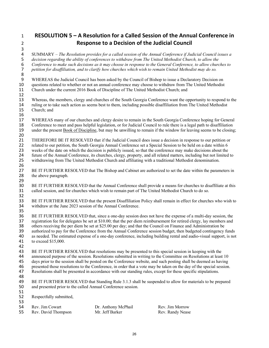## 1 **RESOLUTION 5 – A Resolution for a Called Session of the Annual Conference in**  2 **Response to a Decision of the Judicial Council**

3<br>4 SUMMARY – *The Resolution provides for a called session of the Annual Conference if Judicial Council issues a decision regarding the ability of conferences to withdraw from The United Methodist Church, to allow the Conference to make such decisions as it may choose in response to the General Conference, to allow churches to petition for disaffiliation, and to clarify how churches which wish to remain United Methodist may do so.* 

8<br>9 9 WHEREAS the Judicial Council has been asked by the Council of Bishop to issue a Declaratory Decision on<br>10 questions related to whether or not an annual conference may choose to withdraw from The United Methodist 10 questions related to whether or not an annual conference may choose to withdraw from The United Methodist 11 Church under the current 2016 Book of Discipline of The United Methodist Church; and

12<br>13 Whereas, the members, clergy and churches of the South Georgia Conference want the opportunity to respond to the ruling or to take such action as seems best to them, including possible disaffiliation from The United Methodist Church; and

17 WHEREAS many of our churches and clergy desire to remain in the South Georgia Conference hoping for General 18 Conference to meet and pass helpful legislation, or for Judicial Council to rule there is a legal path to disaffiliation<br>19 under the present Book of Discipline, but may be unwilling to remain if the window for leaving under the present Book of Discipline, but may be unwilling to remain if the window for leaving seems to be closing; 20

21 THEREFORE BE IT RESOLVED that if the Judicial Council does issue a decision in response to our petition or<br>22 related to our petition, the South Georgia Annual Conference set a Special Session to be held on a date withi 22 related to our petition, the South Georgia Annual Conference set a Special Session to be held on a date within 6<br>23 weeks of the date on which the decision is publicly issued, so that the conference may make decisions a 23 weeks of the date on which the decision is publicly issued, so that the conference may make decisions about the<br>24 future of the Annual Conference, its churches, clergy, property, and all related matters, including but 24 future of the Annual Conference, its churches, clergy, property, and all related matters, including but not limited to<br>25 withdrawing from The United Methodist Church and affiliating with a traditional Methodist denomin withdrawing from The United Methodist Church and affiliating with a traditional Methodist denomination.

26

27 BE IT FURTHER RESOLVED that The Bishop and Cabinet are authorized to set the date within the parameters in the above paragraph. the above paragraph. 29

30 BE IT FURTHER RESOLVED that the Annual Conference shall provide a means for churches to disaffiliate at this<br>31 called session, and for churches which wish to remain part of The United Methodist Church to do so. 31 called session, and for churches which wish to remain part of The United Methodist Church to do so. 32

33 BE IT FURTHER RESOLVED that the present Disaffiliation Policy shall remain in effect for churches who wish to<br>34 withdraw at the June 2023 session of the Annual Conference. withdraw at the June 2023 session of the Annual Conference.

35<br>36 36 BE IT FURTHER RESOLVED that, since a one-day session does not have the expense of a multi-day session, the registration fee for delegates be set at \$10.00; that the per diem reimbursement for retired clergy, lay members 37 registration fee for delegates be set at \$10.00; that the per diem reimbursement for retired clergy, lay members and 38 others receiving the per diem be set at \$25.00 per day; and that the Council on Finance and Administration be 39 authorized to pay for the Conference from the Annual Conference session budget, then budgeted contingency funds<br>40 as needed. The estimated expense of a one-day conference, including building rental and audio-visual sup as needed. The estimated expense of a one-day conference, including building rental and audio-visual support, is not 41 to exceed \$15,000.

42<br>43 BE IT FURTHER RESOLVED that resolutions may be presented to this special session in keeping with the 44 announced purpose of the session. Resolutions submitted in writing to the Committee on Resolutions at least 10 45 days prior to the session shall be posted on the Conference website, and such posting shall be deemed as having<br>46 presented those resolutions to the Conference, in order that a vote may be taken on the day of the speci 46 presented those resolutions to the Conference, in order that a vote may be taken on the day of the special session.<br>47 Resolutions shall be presented in accordance with our standing rules, except for these specific stip

Resolutions shall be presented in accordance with our standing rules, except for these specific stipulations.

48<br>49

16

49 BE IT FURTHER RESOLVED that Standing Rule 3.1.3 shall be suspended to allow for materials to be prepared 50 and presented prior to the called Annual Conference session.

51<br>52 Respectfully submitted,

53

Rev. David Thompson Mr. Jeff Barker

54 Rev. Jim Cowart **Dr. Anthony McPhail Rev. Jim Morrow**<br>55 Rev. David Thompson Mr. Jeff Barker Rev. Randy Nease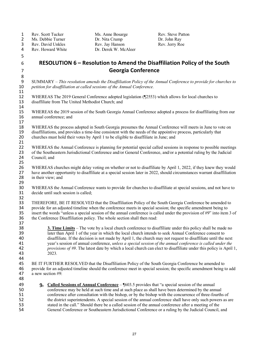1 Rev. Scott Tucker Ms. Anne Bosarge Rev. Steve Patton 2 Ms. Debbie Turner Dr. Nita Crump Dr. John Ray<br>
2 Ms. Debbie Turner Dr. Nita Crump Dr. John Ray<br>
2 Rev. David Unkles Rev. Jay Hanson Rev. Jerry Roe Rev. David Unkles<br>Rev. Howard White 4 Rev. Howard White Dr. Derek W. McAleer 5 6 **RESOLUTION 6 – Resolution to Amend the Disaffiliation Policy of the South**  7 **Georgia Conference** 8<br>9 9 SUMMARY – *This resolution amends the Disaffiliation Policy of the Annual Conference to provide for churches to*  petition for disaffiliation at called sessions of the Annual Conference. 11<br>12 12 WHEREAS The 2019 General Conference adopted legislation (¶2553) which allows for local churches to<br>13 disaffiliate from The United Methodist Church; and disaffiliate from The United Methodist Church; and 14<br>15 15 WHEREAS the 2019 session of the South Georgia Annual Conference adopted a process for disaffiliating from our 16 annual conference; and 17 18 WHEREAS the process adopted in South Georgia presumes the Annual Conference will meets in June to vote on<br>19 disaffiliations, and provides a time-line consistent with the needs of the appointive process, particularly th 19 disaffiliations, and provides a time-line consistent with the needs of the appointive process, particularly that 20 churches must hold their votes by April 1 to be eligible to disaffiliate in June; and 21<br>22 22 WHEREAS the Annual Conference is planning for potential special called sessions in response to possible meetings 23 of the Southeastern Jurisdictional Conference and/or General Conference, and/or a potential ruling by the Judicial 24 Council; and Council; and 25 26 WHEREAS churches might delay voting on whether or not to disaffiliate by April 1, 2022, if they knew they would 27 have another opportunity to disaffiliate at a special session later in 2022, should circumstances warrant disaffiliation<br>28 in their view: and in their view; and 29 30 WHEREAS the Annual Conference wants to provide for churches to disaffiliate at special sessions, and not have to 31 decide until such session is called; 32<br>33 33 THEREFORE, BE IT RESOLVED that the Disaffiliation Policy of the South Georgia Conference be amended to 34 provide for an adjusted timeline when the conference meets in special session; the specific amendment being to insert the words "unless a special session of the annual conference is called under the provision of  $\#9$ " 35 insert the words "unless a special session of the annual conference is called under the provision of  $\#9$ " into item 3 of the Conference Disaffiliation policy. The whole section shall then read: the Conference Disaffiliation policy. The whole section shall then read: 37 38 **3. Time Limits** – The vote by a local church conference to disaffiliate under this policy shall be made no 39 later than April 1 of the year in which the local church intends to seek Annual Conference consent to disaffiliate. If the decision is not made by April 1, the church may not request to disaffiliate until the i disaffiliate. If the decision is not made by April 1, the church may not request to disaffiliate until the next 41 year's session of annual conference, *unless a special session of the annual conference is called under the*  42 *provisions of #9*. The latest date by which a local church can elect to disaffiliate under this policy is April 1, 43 2023*.* 44<br>45 45 BE IT FURTHER RESOLVED that the Disaffiliation Policy of the South Georgia Conference be amended to 46 provide for an adjusted timeline should the conference meet in special session; the specific amendment being to add 47 a new section #9: 48 **9. Called Sessions of Annual Conference** – ¶603.5 provides that "a special session of the annual conference may be held at such time and at such place as shall have been determined by the ann 50 conference may be held at such time and at such place as shall have been determined by the annual 51 conference after consultation with the bishop, or by the bishop with the concurrence of three-fourths of the district superintendents. A special session of the annual conference shall have only such powers as a the district superintendents. A special session of the annual conference shall have only such powers as are 53 stated in the call." Should there be a called session of the annual conference after a meeting of the 54 General Conference or Southeastern Jurisdictional Conference or a ruling by the Judicial Council, and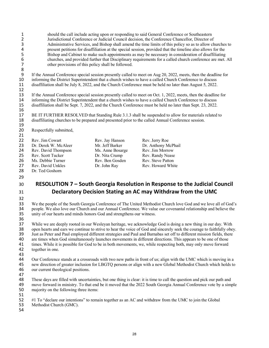| $\mathbf 1$<br>$\overline{2}$<br>3<br>4<br>5 | should the call include acting upon or responding to said General Conference or Southeastern<br>Jurisdictional Conference or Judicial Council decision, the Conference Chancellor, Director of<br>Administrative Services, and Bishop shall amend the time limits of this policy so as to allow churches to<br>present petitions for disaffiliation at the special session, provided that the timeline also allows for the<br>Bishop and Cabinet to make such appointments as may be necessary in consideration of disaffiliating<br>churches, and provided further that Disciplinary requirements for a called church conference are met. All |                  |                                                                                                                                                                                                                                                                                                                                           |
|----------------------------------------------|------------------------------------------------------------------------------------------------------------------------------------------------------------------------------------------------------------------------------------------------------------------------------------------------------------------------------------------------------------------------------------------------------------------------------------------------------------------------------------------------------------------------------------------------------------------------------------------------------------------------------------------------|------------------|-------------------------------------------------------------------------------------------------------------------------------------------------------------------------------------------------------------------------------------------------------------------------------------------------------------------------------------------|
| 6<br>$\overline{7}$<br>$\bf 8$               | other provisions of this policy shall be followed.                                                                                                                                                                                                                                                                                                                                                                                                                                                                                                                                                                                             |                  |                                                                                                                                                                                                                                                                                                                                           |
| 9<br>10<br>11<br>12                          |                                                                                                                                                                                                                                                                                                                                                                                                                                                                                                                                                                                                                                                |                  | If the Annual Conference special session presently called to meet on Aug 20, 2022, meets, then the deadline for<br>informing the District Superintendent that a church wishes to have a called Church Conference to discuss<br>disaffiliation shall be July 8, 2022, and the Church Conference must be held no later than August 5, 2022. |
| 13<br>14<br>15<br>16                         | If the Annual Conference special session presently called to meet on Oct. 1, 2022, meets, then the deadline for<br>informing the District Superintendent that a church wishes to have a called Church Conference to discuss<br>disaffiliation shall be Sept. 7, 2022, and the Church Conference must be held no later than Sept. 23, 2022.                                                                                                                                                                                                                                                                                                     |                  |                                                                                                                                                                                                                                                                                                                                           |
| 17<br>18<br>19                               |                                                                                                                                                                                                                                                                                                                                                                                                                                                                                                                                                                                                                                                |                  | BE IT FURTHER RESOLVED that Standing Rule 3.1.3 shall be suspended to allow for materials related to<br>disaffiliating churches to be prepared and presented prior to the called Annual Conference session.                                                                                                                               |
| 20<br>21                                     | Respectfully submitted,                                                                                                                                                                                                                                                                                                                                                                                                                                                                                                                                                                                                                        |                  |                                                                                                                                                                                                                                                                                                                                           |
| 22                                           | Rev. Jim Cowart                                                                                                                                                                                                                                                                                                                                                                                                                                                                                                                                                                                                                                | Rev. Jay Hanson  | Rev. Jerry Roe                                                                                                                                                                                                                                                                                                                            |
| 23                                           | Dr. Derek W. McAleer                                                                                                                                                                                                                                                                                                                                                                                                                                                                                                                                                                                                                           | Mr. Jeff Barker  | Dr. Anthony McPhail                                                                                                                                                                                                                                                                                                                       |
| 24                                           | Rev. David Thompson                                                                                                                                                                                                                                                                                                                                                                                                                                                                                                                                                                                                                            | Ms. Anne Bosarge | Rev. Jim Morrow                                                                                                                                                                                                                                                                                                                           |
| 25                                           | Rev. Scott Tucker                                                                                                                                                                                                                                                                                                                                                                                                                                                                                                                                                                                                                              | Dr. Nita Crump   | Rev. Randy Nease                                                                                                                                                                                                                                                                                                                          |
| 26                                           | Ms. Debbie Turner                                                                                                                                                                                                                                                                                                                                                                                                                                                                                                                                                                                                                              | Rev. Ben Gosden  | Rev. Steve Patton                                                                                                                                                                                                                                                                                                                         |
| 27                                           | Rev. David Unkles                                                                                                                                                                                                                                                                                                                                                                                                                                                                                                                                                                                                                              | Dr. John Ray     | Rev. Howard White                                                                                                                                                                                                                                                                                                                         |
| 28                                           | Dr. Ted Goshorn                                                                                                                                                                                                                                                                                                                                                                                                                                                                                                                                                                                                                                |                  |                                                                                                                                                                                                                                                                                                                                           |
| 29                                           |                                                                                                                                                                                                                                                                                                                                                                                                                                                                                                                                                                                                                                                |                  |                                                                                                                                                                                                                                                                                                                                           |

- 
- 
- **RESOLUTION 7 South Georgia Resolution in Response to the Judicial Council Declaratory Decision Stating an AC may Withdraw from the UMC**

32<br>33 33 We the people of the South Georgia Conference of The United Methodist Church love God and we love all of God's<br>34 people. We also love our Church and our Annual Conference. We value our covenantal relationship and belie people. We also love our Church and our Annual Conference. We value our covenantal relationship and believe the unity of our hearts and minds honors God and strengthens our witness.

 While we are deeply rooted in our Wesleyan heritage, we acknowledge God is doing a new thing in our day. With 38 open hearts and ears we continue to strive to hear the voice of God and sincerely seek the courage to faithfully obey.<br>39 Just as Peter and Paul employed different strategies and Paul and Barnabas set off to different m 39 Just as Peter and Paul employed different strategies and Paul and Barnabas set off to different mission fields, there<br>40 are times when God simultaneously launches movements in different directions. This appears to be o 40 are times when God simultaneously launches movements in different directions. This appears to be one of those<br>41 times. While it is possible for God to be in both movements, we, while respecting both, may only move forw 41 times. While it is possible for God to be in both movements, we, while respecting both, may only move forward together in one. together in one.

- Our Conference stands at a crossroads with two new paths in front of us; align with the UMC which is moving in a 45 new direction of greater inclusion for LBGTQ persons or align with a new Global Methodist Church which holds to<br>46 our current theological positions. our current theological positions.
- 

48 These days are filled with uncertainties, but one thing is clear: it is time to call the question and pick our path and<br>49 move forward in ministry. To that end be it moved that the 2022 South Georgia Annual Conference 49 move forward in ministry. To that end be it moved that the 2022 South Georgia Annual Conference vote by a simple majority on the following three items: majority on the following three items:

51<br>52

#1 To "declare our intentions" to remain together as an AC and withdraw from the UMC to join the Global Methodist Church (GMC).